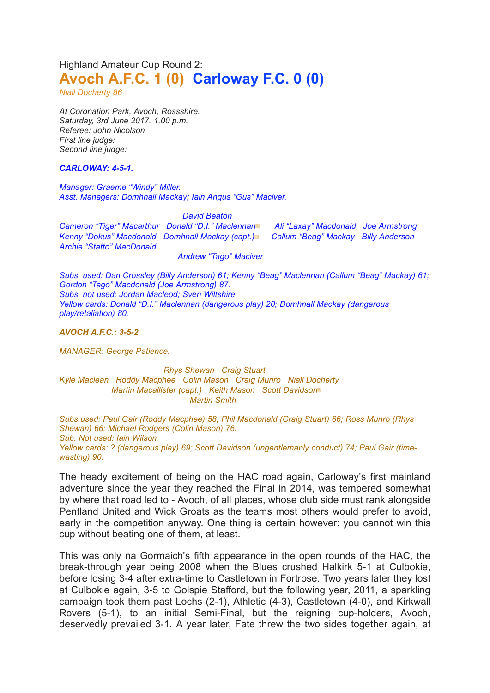## Highland Amateur Cup Round 2: **Avoch A.F.C. 1 (0) Carloway F.C. 0 (0)**

*Niall Docherty 86*

*At Coronation Park, Avoch, Rossshire. Saturday, 3rd June 2017. 1.00 p.m. Referee: John Nicolson First line judge: Second line judge:*

*CARLOWAY: 4-5-1.*

*Manager: Graeme "Windy" Miller. Asst. Managers: Domhnall Mackay; Iain Angus "Gus" Maciver.*

*David Beaton*

*Cameron "Tiger" Macarthur Donald "D.I." Maclennan*▩ *Ali "Laxay" Macdonald Joe Armstrong Kenny "Dokus" Macdonald Domhnall Mackay (capt.)*▩ *Callum "Beag" Mackay Billy Anderson Archie "Statto" MacDonald*

*Andrew "Tago" Maciver*

*Subs. used: Dan Crossley (Billy Anderson) 61; Kenny "Beag" Maclennan (Callum "Beag" Mackay) 61; Gordon "Tago" Macdonald (Joe Armstrong) 87. Subs. not used: Jordan Macleod; Sven Wiltshire. Yellow cards: Donald "D.I." Maclennan (dangerous play) 20; Domhnall Mackay (dangerous play/retaliation) 80.*

*AVOCH A.F.C.: 3-5-2*

*MANAGER: George Patience.*

*Rhys Shewan Craig Stuart Kyle Maclean Roddy Macphee Colin Mason Craig Munro Niall Docherty Martin Macallister (capt.) Keith Mason Scott Davidson*▩ *Martin Smith*

*Subs.used: Paul Gair (Roddy Macphee) 58; Phil Macdonald (Craig Stuart) 66; Ross Munro (Rhys Shewan) 66; Michael Rodgers (Colin Mason) 76. Sub. Not used: Iain Wilson Yellow cards: ? (dangerous play) 69; Scott Davidson (ungentlemanly conduct) 74; Paul Gair (timewasting) 90.*

The heady excitement of being on the HAC road again, Carloway's first mainland adventure since the year they reached the Final in 2014, was tempered somewhat by where that road led to - Avoch, of all places, whose club side must rank alongside Pentland United and Wick Groats as the teams most others would prefer to avoid, early in the competition anyway. One thing is certain however: you cannot win this cup without beating one of them, at least.

This was only na Gormaich's fifth appearance in the open rounds of the HAC, the break-through year being 2008 when the Blues crushed Halkirk 5-1 at Culbokie, before losing 3-4 after extra-time to Castletown in Fortrose. Two years later they lost at Culbokie again, 3-5 to Golspie Stafford, but the following year, 2011, a sparkling campaign took them past Lochs (2-1), Athletic (4-3), Castletown (4-0), and Kirkwall Rovers (5-1), to an initial Semi-Final, but the reigning cup-holders, Avoch, deservedly prevailed 3-1. A year later, Fate threw the two sides together again, at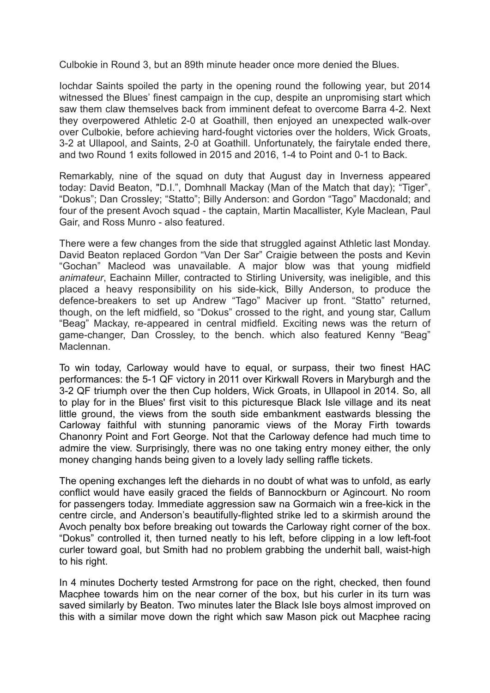Culbokie in Round 3, but an 89th minute header once more denied the Blues.

Iochdar Saints spoiled the party in the opening round the following year, but 2014 witnessed the Blues' finest campaign in the cup, despite an unpromising start which saw them claw themselves back from imminent defeat to overcome Barra 4-2. Next they overpowered Athletic 2-0 at Goathill, then enjoyed an unexpected walk-over over Culbokie, before achieving hard-fought victories over the holders, Wick Groats, 3-2 at Ullapool, and Saints, 2-0 at Goathill. Unfortunately, the fairytale ended there, and two Round 1 exits followed in 2015 and 2016, 1-4 to Point and 0-1 to Back.

Remarkably, nine of the squad on duty that August day in Inverness appeared today: David Beaton, "D.I.", Domhnall Mackay (Man of the Match that day); "Tiger", "Dokus"; Dan Crossley; "Statto"; Billy Anderson: and Gordon "Tago" Macdonald; and four of the present Avoch squad - the captain, Martin Macallister, Kyle Maclean, Paul Gair, and Ross Munro - also featured.

There were a few changes from the side that struggled against Athletic last Monday. David Beaton replaced Gordon "Van Der Sar" Craigie between the posts and Kevin "Gochan" Macleod was unavailable. A major blow was that young midfield *animateur*, Eachainn Miller, contracted to Stirling University, was ineligible, and this placed a heavy responsibility on his side-kick, Billy Anderson, to produce the defence-breakers to set up Andrew "Tago" Maciver up front. "Statto" returned, though, on the left midfield, so "Dokus" crossed to the right, and young star, Callum "Beag" Mackay, re-appeared in central midfield. Exciting news was the return of game-changer, Dan Crossley, to the bench. which also featured Kenny "Beag" Maclennan.

To win today, Carloway would have to equal, or surpass, their two finest HAC performances: the 5-1 QF victory in 2011 over Kirkwall Rovers in Maryburgh and the 3-2 QF triumph over the then Cup holders, Wick Groats, in Ullapool in 2014. So, all to play for in the Blues' first visit to this picturesque Black Isle village and its neat little ground, the views from the south side embankment eastwards blessing the Carloway faithful with stunning panoramic views of the Moray Firth towards Chanonry Point and Fort George. Not that the Carloway defence had much time to admire the view. Surprisingly, there was no one taking entry money either, the only money changing hands being given to a lovely lady selling raffle tickets.

The opening exchanges left the diehards in no doubt of what was to unfold, as early conflict would have easily graced the fields of Bannockburn or Agincourt. No room for passengers today. Immediate aggression saw na Gormaich win a free-kick in the centre circle, and Anderson's beautifully-flighted strike led to a skirmish around the Avoch penalty box before breaking out towards the Carloway right corner of the box. "Dokus" controlled it, then turned neatly to his left, before clipping in a low left-foot curler toward goal, but Smith had no problem grabbing the underhit ball, waist-high to his right.

In 4 minutes Docherty tested Armstrong for pace on the right, checked, then found Macphee towards him on the near corner of the box, but his curler in its turn was saved similarly by Beaton. Two minutes later the Black Isle boys almost improved on this with a similar move down the right which saw Mason pick out Macphee racing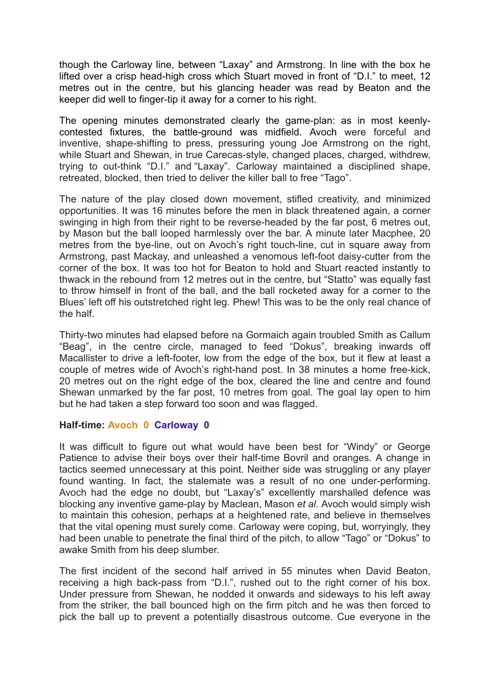though the Carloway line, between "Laxay" and Armstrong. In line with the box he lifted over a crisp head-high cross which Stuart moved in front of "D.I." to meet, 12 metres out in the centre, but his glancing header was read by Beaton and the keeper did well to finger-tip it away for a corner to his right.

The opening minutes demonstrated clearly the game-plan: as in most keenlycontested fixtures, the battle-ground was midfield. Avoch were forceful and inventive, shape-shifting to press, pressuring young Joe Armstrong on the right, while Stuart and Shewan, in true Carecas-style, changed places, charged, withdrew, trying to out-think "D.I." and "Laxay". Carloway maintained a disciplined shape, retreated, blocked, then tried to deliver the killer ball to free "Tago".

The nature of the play closed down movement, stifled creativity, and minimized opportunities. It was 16 minutes before the men in black threatened again, a corner swinging in high from their right to be reverse-headed by the far post, 6 metres out, by Mason but the ball looped harmlessly over the bar. A minute later Macphee, 20 metres from the bye-line, out on Avoch's right touch-line, cut in square away from Armstrong, past Mackay, and unleashed a venomous left-foot daisy-cutter from the corner of the box. It was too hot for Beaton to hold and Stuart reacted instantly to thwack in the rebound from 12 metres out in the centre, but "Statto" was equally fast to throw himself in front of the ball, and the ball rocketed away for a corner to the Blues' left off his outstretched right leg. Phew! This was to be the only real chance of the half.

Thirty-two minutes had elapsed before na Gormaich again troubled Smith as Callum "Beag", in the centre circle, managed to feed "Dokus", breaking inwards off Macallister to drive a left-footer, low from the edge of the box, but it flew at least a couple of metres wide of Avoch's right-hand post. In 38 minutes a home free-kick, 20 metres out on the right edge of the box, cleared the line and centre and found Shewan unmarked by the far post, 10 metres from goal. The goal lay open to him but he had taken a step forward too soon and was flagged.

## **Half-time: Avoch 0 Carloway 0**

It was difficult to figure out what would have been best for "Windy" or George Patience to advise their boys over their half-time Bovril and oranges. A change in tactics seemed unnecessary at this point. Neither side was struggling or any player found wanting. In fact, the stalemate was a result of no one under-performing. Avoch had the edge no doubt, but "Laxay's" excellently marshalled defence was blocking any inventive game-play by Maclean, Mason *et al*. Avoch would simply wish to maintain this cohesion, perhaps at a heightened rate, and believe in themselves that the vital opening must surely come. Carloway were coping, but, worryingly, they had been unable to penetrate the final third of the pitch, to allow "Tago" or "Dokus" to awake Smith from his deep slumber.

The first incident of the second half arrived in 55 minutes when David Beaton, receiving a high back-pass from "D.I.", rushed out to the right corner of his box. Under pressure from Shewan, he nodded it onwards and sideways to his left away from the striker, the ball bounced high on the firm pitch and he was then forced to pick the ball up to prevent a potentially disastrous outcome. Cue everyone in the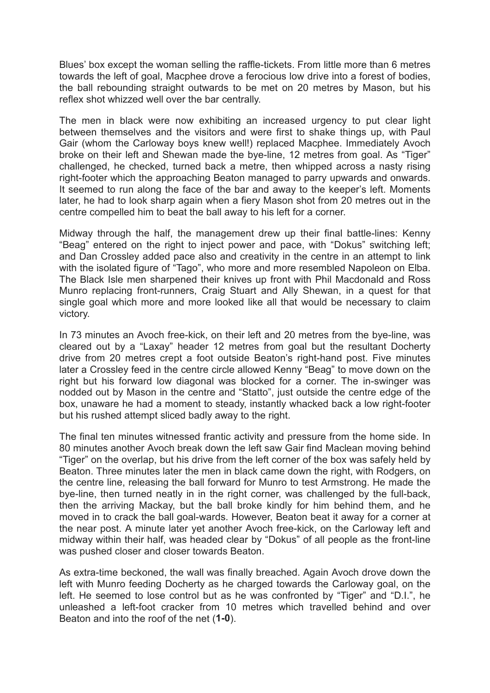Blues' box except the woman selling the raffle-tickets. From little more than 6 metres towards the left of goal, Macphee drove a ferocious low drive into a forest of bodies, the ball rebounding straight outwards to be met on 20 metres by Mason, but his reflex shot whizzed well over the bar centrally.

The men in black were now exhibiting an increased urgency to put clear light between themselves and the visitors and were first to shake things up, with Paul Gair (whom the Carloway boys knew well!) replaced Macphee. Immediately Avoch broke on their left and Shewan made the bye-line, 12 metres from goal. As "Tiger" challenged, he checked, turned back a metre, then whipped across a nasty rising right-footer which the approaching Beaton managed to parry upwards and onwards. It seemed to run along the face of the bar and away to the keeper's left. Moments later, he had to look sharp again when a fiery Mason shot from 20 metres out in the centre compelled him to beat the ball away to his left for a corner.

Midway through the half, the management drew up their final battle-lines: Kenny "Beag" entered on the right to inject power and pace, with "Dokus" switching left; and Dan Crossley added pace also and creativity in the centre in an attempt to link with the isolated figure of "Tago", who more and more resembled Napoleon on Elba. The Black Isle men sharpened their knives up front with Phil Macdonald and Ross Munro replacing front-runners, Craig Stuart and Ally Shewan, in a quest for that single goal which more and more looked like all that would be necessary to claim victory.

In 73 minutes an Avoch free-kick, on their left and 20 metres from the bye-line, was cleared out by a "Laxay" header 12 metres from goal but the resultant Docherty drive from 20 metres crept a foot outside Beaton's right-hand post. Five minutes later a Crossley feed in the centre circle allowed Kenny "Beag" to move down on the right but his forward low diagonal was blocked for a corner. The in-swinger was nodded out by Mason in the centre and "Statto", just outside the centre edge of the box, unaware he had a moment to steady, instantly whacked back a low right-footer but his rushed attempt sliced badly away to the right.

The final ten minutes witnessed frantic activity and pressure from the home side. In 80 minutes another Avoch break down the left saw Gair find Maclean moving behind "Tiger" on the overlap, but his drive from the left corner of the box was safely held by Beaton. Three minutes later the men in black came down the right, with Rodgers, on the centre line, releasing the ball forward for Munro to test Armstrong. He made the bye-line, then turned neatly in in the right corner, was challenged by the full-back, then the arriving Mackay, but the ball broke kindly for him behind them, and he moved in to crack the ball goal-wards. However, Beaton beat it away for a corner at the near post. A minute later yet another Avoch free-kick, on the Carloway left and midway within their half, was headed clear by "Dokus" of all people as the front-line was pushed closer and closer towards Beaton.

As extra-time beckoned, the wall was finally breached. Again Avoch drove down the left with Munro feeding Docherty as he charged towards the Carloway goal, on the left. He seemed to lose control but as he was confronted by "Tiger" and "D.I.", he unleashed a left-foot cracker from 10 metres which travelled behind and over Beaton and into the roof of the net (**1-0**).